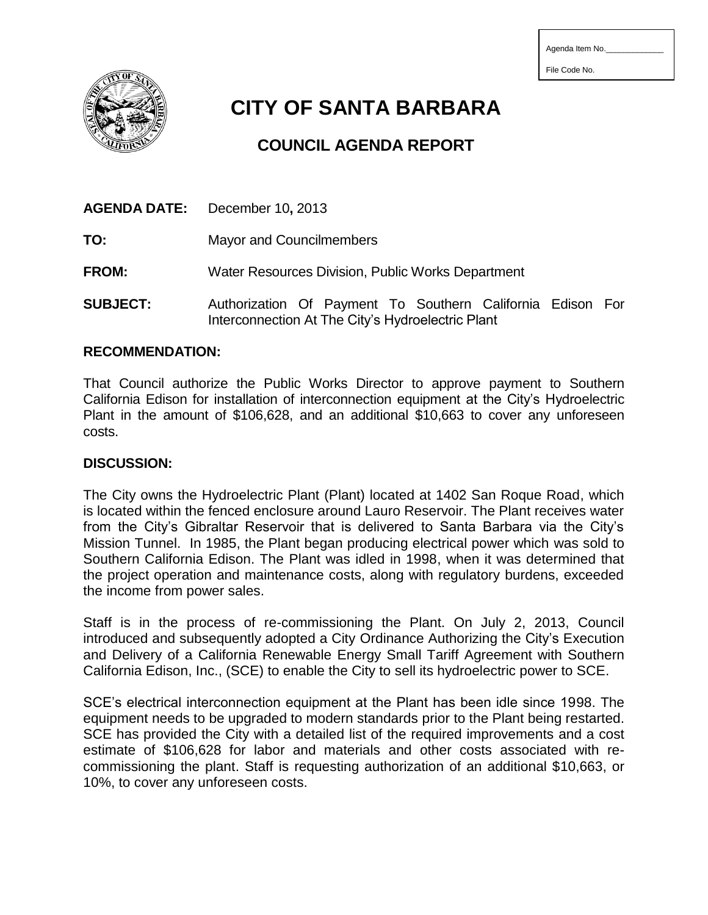| Agenda Item No. |  |
|-----------------|--|
|-----------------|--|

File Code No.

**CITY OF SANTA BARBARA**

# **COUNCIL AGENDA REPORT**

|                 | <b>AGENDA DATE:</b> December 10, 2013                      |  |  |
|-----------------|------------------------------------------------------------|--|--|
| TO:             | <b>Mayor and Councilmembers</b>                            |  |  |
| <b>FROM:</b>    | Water Resources Division, Public Works Department          |  |  |
| <b>SUBJECT:</b> | Authorization Of Payment To Southern California Edison For |  |  |

#### **RECOMMENDATION:**

That Council authorize the Public Works Director to approve payment to Southern California Edison for installation of interconnection equipment at the City's Hydroelectric Plant in the amount of \$106,628, and an additional \$10,663 to cover any unforeseen costs.

Interconnection At The City's Hydroelectric Plant

### **DISCUSSION:**

The City owns the Hydroelectric Plant (Plant) located at 1402 San Roque Road, which is located within the fenced enclosure around Lauro Reservoir. The Plant receives water from the City's Gibraltar Reservoir that is delivered to Santa Barbara via the City's Mission Tunnel. In 1985, the Plant began producing electrical power which was sold to Southern California Edison. The Plant was idled in 1998, when it was determined that the project operation and maintenance costs, along with regulatory burdens, exceeded the income from power sales.

Staff is in the process of re-commissioning the Plant. On July 2, 2013, Council introduced and subsequently adopted a City Ordinance Authorizing the City's Execution and Delivery of a California Renewable Energy Small Tariff Agreement with Southern California Edison, Inc., (SCE) to enable the City to sell its hydroelectric power to SCE.

SCE's electrical interconnection equipment at the Plant has been idle since 1998. The equipment needs to be upgraded to modern standards prior to the Plant being restarted. SCE has provided the City with a detailed list of the required improvements and a cost estimate of \$106,628 for labor and materials and other costs associated with recommissioning the plant. Staff is requesting authorization of an additional \$10,663, or 10%, to cover any unforeseen costs.